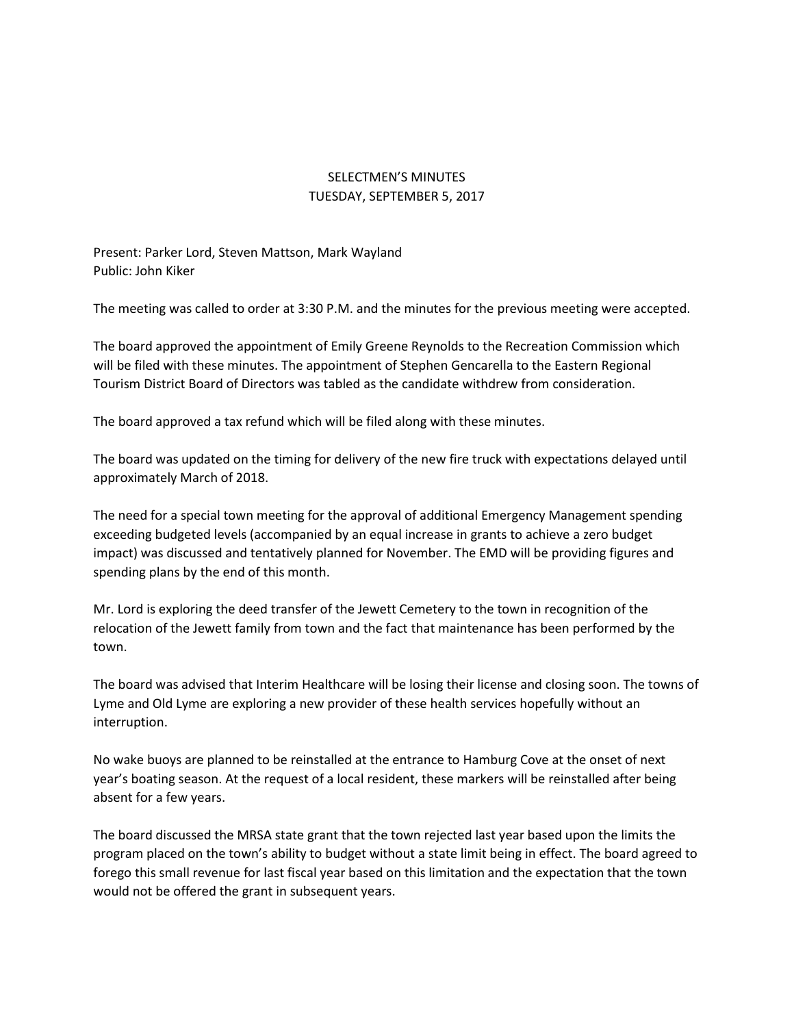## SELECTMEN'S MINUTES TUESDAY, SEPTEMBER 5, 2017

Present: Parker Lord, Steven Mattson, Mark Wayland Public: John Kiker

The meeting was called to order at 3:30 P.M. and the minutes for the previous meeting were accepted.

The board approved the appointment of Emily Greene Reynolds to the Recreation Commission which will be filed with these minutes. The appointment of Stephen Gencarella to the Eastern Regional Tourism District Board of Directors was tabled as the candidate withdrew from consideration.

The board approved a tax refund which will be filed along with these minutes.

The board was updated on the timing for delivery of the new fire truck with expectations delayed until approximately March of 2018.

The need for a special town meeting for the approval of additional Emergency Management spending exceeding budgeted levels (accompanied by an equal increase in grants to achieve a zero budget impact) was discussed and tentatively planned for November. The EMD will be providing figures and spending plans by the end of this month.

Mr. Lord is exploring the deed transfer of the Jewett Cemetery to the town in recognition of the relocation of the Jewett family from town and the fact that maintenance has been performed by the town.

The board was advised that Interim Healthcare will be losing their license and closing soon. The towns of Lyme and Old Lyme are exploring a new provider of these health services hopefully without an interruption.

No wake buoys are planned to be reinstalled at the entrance to Hamburg Cove at the onset of next year's boating season. At the request of a local resident, these markers will be reinstalled after being absent for a few years.

The board discussed the MRSA state grant that the town rejected last year based upon the limits the program placed on the town's ability to budget without a state limit being in effect. The board agreed to forego this small revenue for last fiscal year based on this limitation and the expectation that the town would not be offered the grant in subsequent years.